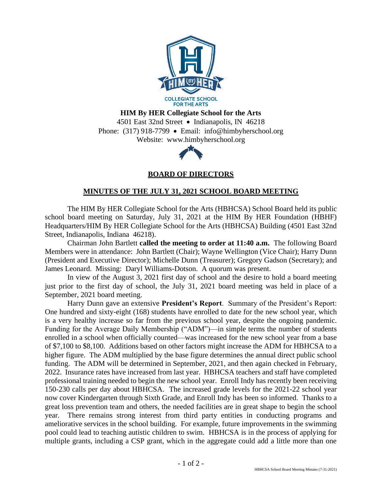

**HIM By HER Collegiate School for the Arts**

4501 East 32nd Street • Indianapolis, IN 46218 Phone: (317) 918-7799 • Email: info@himbyherschool.org Website: www.himbyherschool.org



**BOARD OF DIRECTORS**

## **MINUTES OF THE JULY 31, 2021 SCHOOL BOARD MEETING**

The HIM By HER Collegiate School for the Arts (HBHCSA) School Board held its public school board meeting on Saturday, July 31, 2021 at the HIM By HER Foundation (HBHF) Headquarters/HIM By HER Collegiate School for the Arts (HBHCSA) Building (4501 East 32nd Street, Indianapolis, Indiana 46218).

Chairman John Bartlett **called the meeting to order at 11:40 a.m.** The following Board Members were in attendance: John Bartlett (Chair); Wayne Wellington (Vice Chair); Harry Dunn (President and Executive Director); Michelle Dunn (Treasurer); Gregory Gadson (Secretary); and James Leonard. Missing: Daryl Williams-Dotson. A quorum was present.

In view of the August 3, 2021 first day of school and the desire to hold a board meeting just prior to the first day of school, the July 31, 2021 board meeting was held in place of a September, 2021 board meeting.

Harry Dunn gave an extensive **President's Report**. Summary of the President's Report: One hundred and sixty-eight (168) students have enrolled to date for the new school year, which is a very healthy increase so far from the previous school year, despite the ongoing pandemic. Funding for the Average Daily Membership ("ADM")—in simple terms the number of students enrolled in a school when officially counted—was increased for the new school year from a base of \$7,100 to \$8,100. Additions based on other factors might increase the ADM for HBHCSA to a higher figure. The ADM multiplied by the base figure determines the annual direct public school funding. The ADM will be determined in September, 2021, and then again checked in February, 2022. Insurance rates have increased from last year. HBHCSA teachers and staff have completed professional training needed to begin the new school year. Enroll Indy has recently been receiving 150-230 calls per day about HBHCSA. The increased grade levels for the 2021-22 school year now cover Kindergarten through Sixth Grade, and Enroll Indy has been so informed. Thanks to a great loss prevention team and others, the needed facilities are in great shape to begin the school year. There remains strong interest from third party entities in conducting programs and ameliorative services in the school building. For example, future improvements in the swimming pool could lead to teaching autistic children to swim. HBHCSA is in the process of applying for multiple grants, including a CSP grant, which in the aggregate could add a little more than one